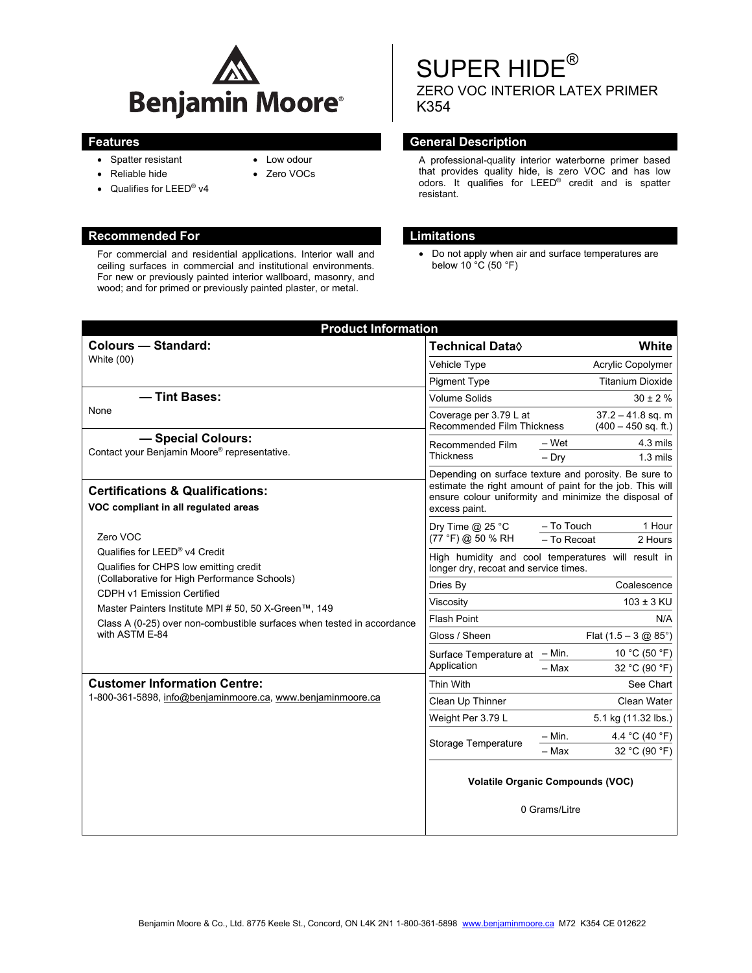

• Low odour Zero VOCs

- Spatter resistant
- Reliable hide
- Qualifies for LEED<sup>®</sup> v4

# **Recommended For Limitations Limitations**

For commercial and residential applications. Interior wall and ceiling surfaces in commercial and institutional environments. For new or previously painted interior wallboard, masonry, and wood; and for primed or previously painted plaster, or metal.

# SUPER HIDE® ZERO VOC INTERIOR LATEX PRIMER K354

# **Features General Description**

A professional-quality interior waterborne primer based that provides quality hide, is zero VOC and has low odors. It qualifies for LEED® credit and is spatter resistant.

 Do not apply when air and surface temperatures are below 10 °C (50 °F)

| <b>Product Information</b>                                                                                                                                                                                                |                                                                                                                                                                                              |                             |                                              |  |
|---------------------------------------------------------------------------------------------------------------------------------------------------------------------------------------------------------------------------|----------------------------------------------------------------------------------------------------------------------------------------------------------------------------------------------|-----------------------------|----------------------------------------------|--|
| <b>Colours - Standard:</b>                                                                                                                                                                                                | <b>Technical Data</b> ♦                                                                                                                                                                      |                             | White                                        |  |
| White (00)                                                                                                                                                                                                                | Vehicle Type                                                                                                                                                                                 |                             | Acrylic Copolymer                            |  |
|                                                                                                                                                                                                                           | <b>Pigment Type</b>                                                                                                                                                                          |                             | <b>Titanium Dioxide</b>                      |  |
| - Tint Bases:<br>None                                                                                                                                                                                                     | <b>Volume Solids</b>                                                                                                                                                                         |                             | $30 \pm 2 \%$                                |  |
|                                                                                                                                                                                                                           | Coverage per 3.79 L at<br><b>Recommended Film Thickness</b>                                                                                                                                  |                             | $37.2 - 41.8$ sq. m<br>$(400 - 450$ sq. ft.) |  |
| - Special Colours:<br>Contact your Benjamin Moore® representative.                                                                                                                                                        | Recommended Film                                                                                                                                                                             | – Wet                       | 4.3 mils                                     |  |
|                                                                                                                                                                                                                           | <b>Thickness</b>                                                                                                                                                                             | $-$ Dry                     | $1.3 \text{ miles}$                          |  |
| <b>Certifications &amp; Qualifications:</b><br>VOC compliant in all regulated areas                                                                                                                                       | Depending on surface texture and porosity. Be sure to<br>estimate the right amount of paint for the job. This will<br>ensure colour uniformity and minimize the disposal of<br>excess paint. |                             |                                              |  |
| Zero VOC<br>Qualifies for LEED® v4 Credit<br>Qualifies for CHPS low emitting credit<br>(Collaborative for High Performance Schools)<br>CDPH v1 Emission Certified<br>Master Painters Institute MPI # 50, 50 X-Green™, 149 | Dry Time $@$ 25 °C<br>(77 °F) @ 50 % RH                                                                                                                                                      | - To Touch<br>$-$ To Recoat | 1 Hour<br>2 Hours                            |  |
|                                                                                                                                                                                                                           | High humidity and cool temperatures will result in<br>longer dry, recoat and service times.                                                                                                  |                             |                                              |  |
|                                                                                                                                                                                                                           | Dries By                                                                                                                                                                                     | Coalescence                 |                                              |  |
|                                                                                                                                                                                                                           | Viscosity                                                                                                                                                                                    | $103 \pm 3$ KU              |                                              |  |
| Class A (0-25) over non-combustible surfaces when tested in accordance<br>with ASTM E-84                                                                                                                                  | <b>Flash Point</b>                                                                                                                                                                           |                             | N/A                                          |  |
|                                                                                                                                                                                                                           | Gloss / Sheen                                                                                                                                                                                |                             | Flat $(1.5 - 3 \text{ @ } 85^{\circ})$       |  |
|                                                                                                                                                                                                                           | Surface Temperature at - Min.<br>Application                                                                                                                                                 |                             | 10 °C (50 °F)                                |  |
|                                                                                                                                                                                                                           |                                                                                                                                                                                              | - Max                       | 32 °C (90 °F)                                |  |
| <b>Customer Information Centre:</b>                                                                                                                                                                                       | Thin With                                                                                                                                                                                    |                             | See Chart                                    |  |
| 1-800-361-5898, info@benjaminmoore.ca, www.benjaminmoore.ca                                                                                                                                                               | Clean Up Thinner                                                                                                                                                                             |                             | Clean Water                                  |  |
|                                                                                                                                                                                                                           | Weight Per 3.79 L                                                                                                                                                                            |                             | 5.1 kg (11.32 lbs.)                          |  |
|                                                                                                                                                                                                                           | Storage Temperature                                                                                                                                                                          | $- Min.$                    | 4.4 °C (40 °F)                               |  |
|                                                                                                                                                                                                                           |                                                                                                                                                                                              | - Max                       | 32 °C (90 °F)                                |  |
|                                                                                                                                                                                                                           | <b>Volatile Organic Compounds (VOC)</b><br>0 Grams/Litre                                                                                                                                     |                             |                                              |  |